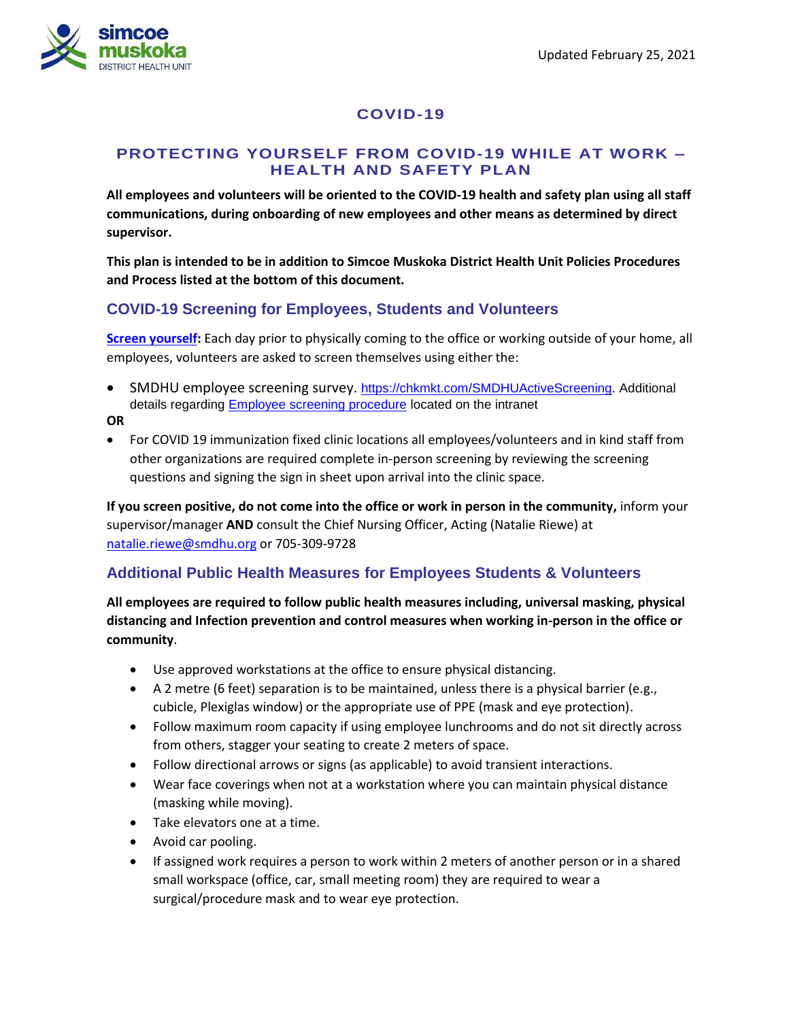

# **COVID-19**

#### **PROTECTING YOURSELF FROM COVID-19 WHILE AT WORK – HEALTH AND SAFETY PLAN**

**All employees and volunteers will be oriented to the COVID-19 health and safety plan using all staff communications, during onboarding of new employees and other means as determined by direct supervisor.** 

**This plan is intended to be in addition to Simcoe Muskoka District Health Unit Policies Procedures and Process listed at the bottom of this document.**

## **COVID-19 Screening for Employees, Students and Volunteers**

**[Screen yourself:](http://intranet.smdhu.net/docs/default-source/tools_resources/IMS/covid-19/staffscreeningprocesscovid19-finalformatted.pdf?sfvrsn=4)** Each day prior to physically coming to the office or working outside of your home, all employees, volunteers are asked to screen themselves using either the:

- **SMDHU employee screening survey.** [https://chkmkt.com/SMDHUActiveScreening.](https://chkmkt.com/SMDHUActiveScreening) Additional details regarding [Employee screening procedure](http://intranet.smdhu.net/docs/default-source/tools_resources/IMS/covid-19/staffscreeningprocesscovid19.pdf?sfvrsn=6) located on the intranet
- **OR**
- For COVID 19 immunization fixed clinic locations all employees/volunteers and in kind staff from other organizations are required complete in-person screening by reviewing the screening questions and signing the sign in sheet upon arrival into the clinic space.

**If you screen positive, do not come into the office or work in person in the community,** inform your supervisor/manager **AND** consult the Chief Nursing Officer, Acting (Natalie Riewe) at [natalie.riewe@smdhu.org](mailto:natalie.riewe@smdhu.org) or 705-309-9728

# **Additional Public Health Measures for Employees Students & Volunteers**

**All employees are required to follow public health measures including, universal masking, physical distancing and Infection prevention and control measures when working in-person in the office or community**.

- Use approved workstations at the office to ensure physical distancing.
- A 2 metre (6 feet) separation is to be maintained, unless there is a physical barrier (e.g., cubicle, Plexiglas window) or the appropriate use of PPE (mask and eye protection).
- Follow maximum room capacity if using employee lunchrooms and do not sit directly across from others, stagger your seating to create 2 meters of space.
- Follow directional arrows or signs (as applicable) to avoid transient interactions.
- Wear face coverings when not at a workstation where you can maintain physical distance (masking while moving).
- Take elevators one at a time.
- Avoid car pooling.
- If assigned work requires a person to work within 2 meters of another person or in a shared small workspace (office, car, small meeting room) they are required to wear a surgical/procedure mask and to wear eye protection.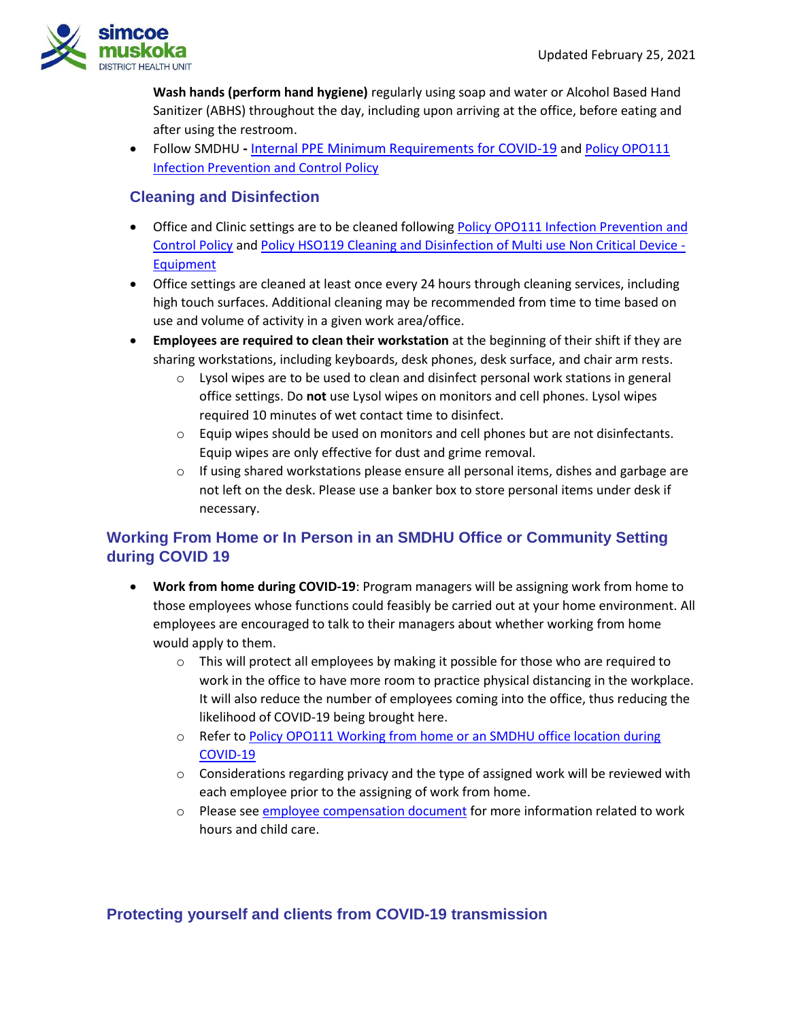

**Wash hands (perform hand hygiene)** regularly using soap and water or Alcohol Based Hand Sanitizer (ABHS) throughout the day, including upon arriving at the office, before eating and after using the restroom.

 Follow SMDHU **-** [Internal PPE Minimum Requirements for COVID-19](http://intranet.smdhu.net/docs/default-source/tools_resources/IMS/covid-19/ppe-recommendations-for-covid-19.pdf?sfvrsn=10) and [Policy OPO111](http://intranet.smdhu.net/BylawsAndPolicies/HlthSafety/IPACRoutinePractices.aspx)  [Infection Prevention and Control Policy](http://intranet.smdhu.net/BylawsAndPolicies/HlthSafety/IPACRoutinePractices.aspx)

## **Cleaning and Disinfection**

- Office and Clinic settings are to be cleaned following Policy OPO111 Infection Prevention and [Control Policy](http://intranet.smdhu.net/BylawsAndPolicies/HlthSafety/IPACRoutinePractices.aspx) an[d Policy HSO119 Cleaning and Disinfection of Multi use Non Critical Device -](Policy%20HSO119%20Cleaning%20and%20Disinfection%20of%20Multi%20use%20Non%20Critical%20Device%20-%20Equipment) [Equipment](Policy%20HSO119%20Cleaning%20and%20Disinfection%20of%20Multi%20use%20Non%20Critical%20Device%20-%20Equipment)
- Office settings are cleaned at least once every 24 hours through cleaning services, including high touch surfaces. Additional cleaning may be recommended from time to time based on use and volume of activity in a given work area/office.
- **Employees are required to clean their workstation** at the beginning of their shift if they are sharing workstations, including keyboards, desk phones, desk surface, and chair arm rests.
	- $\circ$  Lysol wipes are to be used to clean and disinfect personal work stations in general office settings. Do **not** use Lysol wipes on monitors and cell phones. Lysol wipes required 10 minutes of wet contact time to disinfect.
	- $\circ$  Equip wipes should be used on monitors and cell phones but are not disinfectants. Equip wipes are only effective for dust and grime removal.
	- $\circ$  If using shared workstations please ensure all personal items, dishes and garbage are not left on the desk. Please use a banker box to store personal items under desk if necessary.

# **Working From Home or In Person in an SMDHU Office or Community Setting during COVID 19**

- **Work from home during COVID-19**: Program managers will be assigning work from home to those employees whose functions could feasibly be carried out at your home environment. All employees are encouraged to talk to their managers about whether working from home would apply to them.
	- $\circ$  This will protect all employees by making it possible for those who are required to work in the office to have more room to practice physical distancing in the workplace. It will also reduce the number of employees coming into the office, thus reducing the likelihood of COVID-19 being brought here.
	- o Refer to [Policy OPO111 Working from home or an SMDHU office location during](http://intranet.smdhu.net/BylawsAndPolicies/OfficePolicies/wfh-or-smdhu-office-during-covid-19)  [COVID-19](http://intranet.smdhu.net/BylawsAndPolicies/OfficePolicies/wfh-or-smdhu-office-during-covid-19)
	- $\circ$  Considerations regarding privacy and the type of assigned work will be reviewed with each employee prior to the assigning of work from home.
	- $\circ$  Please see [employee compensation document](http://intranet.smdhu.net/docs/default-source/tools_resources/IMS/covid-19/staff-compensation-document-(april-27).pdf?sfvrsn=4) for more information related to work hours and child care.

### **Protecting yourself and clients from COVID-19 transmission**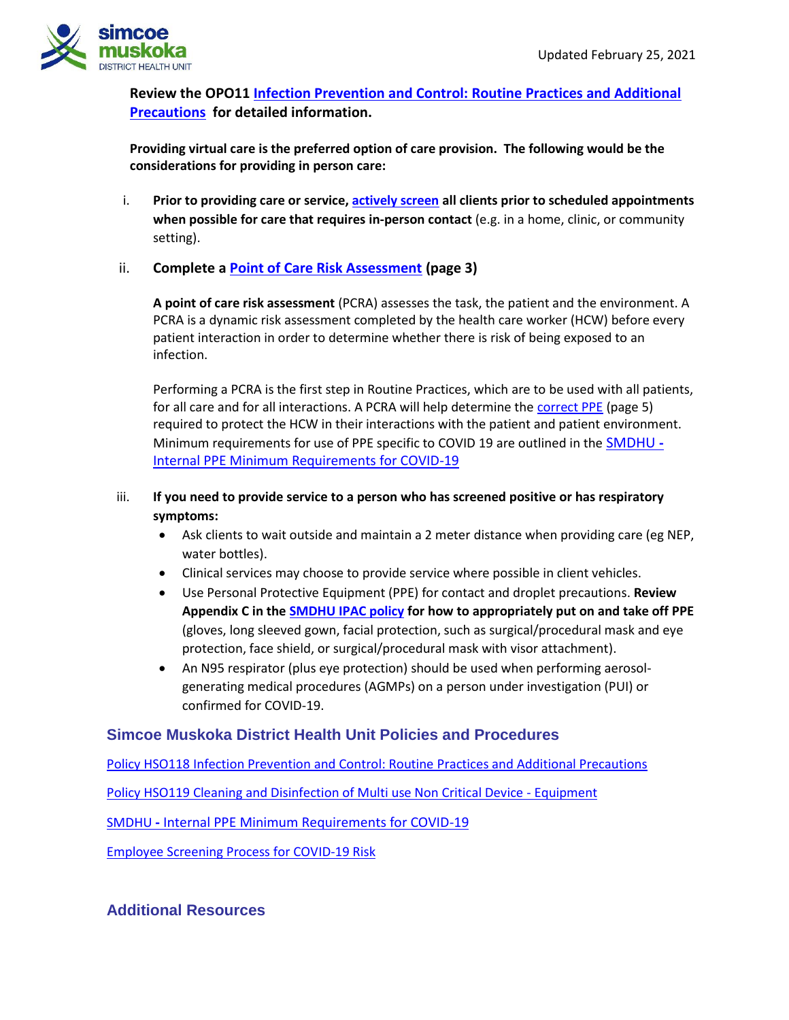

**Review the OPO11 [Infection Prevention and Control: Routine Practices and Additional](http://intranet.smdhu.net/BylawsAndPolicies/HlthSafety/IPACRoutinePractices.aspx)  [Precautions](http://intranet.smdhu.net/BylawsAndPolicies/HlthSafety/IPACRoutinePractices.aspx) for detailed information.** 

**Providing virtual care is the preferred option of care provision. The following would be the considerations for providing in person care:** 

i. **Prior to providing care or service, [actively screen](http://intranet.smdhu.net/docs/default-source/tools_resources/IMS/covid-19/20200325_covid-19---active-screening-tool.pdf?sfvrsn=4) all clients prior to scheduled appointments when possible for care that requires in-person contact** (e.g. in a home, clinic, or community setting).

#### ii. **Complete a [Point of Care Risk Assessment](https://www.publichealthontario.ca/-/media/documents/ncov/updated-ipac-measures-covid-19.pdf?la=en) (page 3)**

**A point of care risk assessment** (PCRA) assesses the task, the patient and the environment. A PCRA is a dynamic risk assessment completed by the health care worker (HCW) before every patient interaction in order to determine whether there is risk of being exposed to an infection.

Performing a PCRA is the first step in Routine Practices, which are to be used with all patients, for all care and for all interactions. A PCRA will help determine the [correct PPE](https://www.publichealthontario.ca/-/media/documents/ncov/updated-ipac-measures-covid-19.pdf?la=en) (page 5) required to protect the HCW in their interactions with the patient and patient environment. Minimum requirements for use of PPE specific to COVID 19 are outlined in the [SMDHU](http://intranet.smdhu.net/docs/default-source/tools_resources/IMS/covid-19/ppe-recommendations-for-covid-19.pdf?sfvrsn=10) **-** [Internal PPE Minimum Requirements for COVID-19](http://intranet.smdhu.net/docs/default-source/tools_resources/IMS/covid-19/ppe-recommendations-for-covid-19.pdf?sfvrsn=10)

#### iii. **If you need to provide service to a person who has screened positive or has respiratory symptoms:**

- Ask clients to wait outside and maintain a 2 meter distance when providing care (eg NEP, water bottles).
- Clinical services may choose to provide service where possible in client vehicles.
- Use Personal Protective Equipment (PPE) for contact and droplet precautions. **Review Appendix C in th[e SMDHU IPAC policy](http://intranet.smdhu.net/docs/default-source/policy_procedure_forms/hs0118ipacroutinepracticesandaddtionalprecautions.pdf?sfvrsn=4) for how to appropriately put on and take off PPE**  (gloves, long sleeved gown, facial protection, such as surgical/procedural mask and eye protection, face shield, or surgical/procedural mask with visor attachment).
- An N95 respirator (plus eye protection) should be used when performing aerosolgenerating medical procedures (AGMPs) on a person under investigation (PUI) or confirmed for COVID-19.

### **Simcoe Muskoka District Health Unit Policies and Procedures**

Policy HSO118 [Infection Prevention and Control: Routine Practices and Additional Precautions](http://intranet.smdhu.net/BylawsAndPolicies/HlthSafety/IPACRoutinePractices.aspx)

[Policy HSO119 Cleaning and Disinfection of Multi use Non Critical Device -](file://///Jenner/Sharedata/Incident%20&%20Emergency%20Response/2020/nCoV/8.0%20Heath&Safety/Protecting%20Yourself%20from%20COVID-19%20While%20At%20Work/Policy%20HSO119%20Cleaning%20and%20Disinfection%20of%20Multi%20use%20Non%20Critical%20Device%20-%20Equipment) Equipment

SMDHU **-** [Internal PPE Minimum Requirements for COVID-19](http://intranet.smdhu.net/docs/default-source/tools_resources/IMS/covid-19/ppe-recommendations-for-covid-19.pdf?sfvrsn=10)

[Employee Screening Process for COVID-19 Risk](http://intranet.smdhu.net/docs/default-source/tools_resources/IMS/covid-19/staffscreeningprocesscovid19.pdf?sfvrsn=6)

### **Additional Resources**